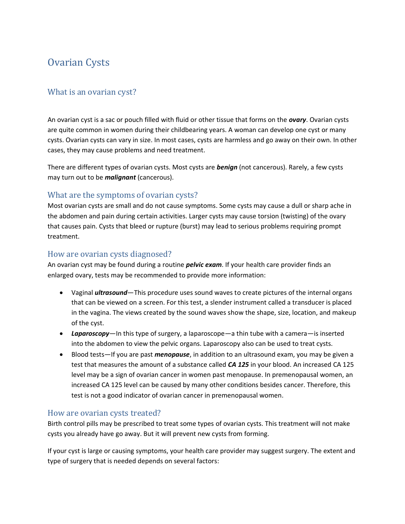# Ovarian Cysts

## What is an ovarian cyst?

An ovarian cyst is a sac or pouch filled with fluid or other tissue that forms on the *ovary*. Ovarian cysts are quite common in women during their childbearing years. A woman can develop one cyst or many cysts. Ovarian cysts can vary in size. In most cases, cysts are harmless and go away on their own. In other cases, they may cause problems and need treatment.

There are different types of ovarian cysts. Most cysts are *benign* (not cancerous). Rarely, a few cysts may turn out to be *malignant* (cancerous).

## What are the symptoms of ovarian cysts?

Most ovarian cysts are small and do not cause symptoms. Some cysts may cause a dull or sharp ache in the abdomen and pain during certain activities. Larger cysts may cause torsion (twisting) of the ovary that causes pain. Cysts that bleed or rupture (burst) may lead to serious problems requiring prompt treatment.

### How are ovarian cysts diagnosed?

An ovarian cyst may be found during a routine *pelvic exam*. If your health care provider finds an enlarged ovary, tests may be recommended to provide more information:

- Vaginal *ultrasound*—This procedure uses sound waves to create pictures of the internal organs that can be viewed on a screen. For this test, a slender instrument called a transducer is placed in the vagina. The views created by the sound waves show the shape, size, location, and makeup of the cyst.
- *Laparoscopy*—In this type of surgery, a laparoscope—a thin tube with a camera—is inserted into the abdomen to view the pelvic organs. Laparoscopy also can be used to treat cysts.
- Blood tests—If you are past *menopause*, in addition to an ultrasound exam, you may be given a test that measures the amount of a substance called *CA 125* in your blood. An increased CA 125 level may be a sign of ovarian cancer in women past menopause. In premenopausal women, an increased CA 125 level can be caused by many other conditions besides cancer. Therefore, this test is not a good indicator of ovarian cancer in premenopausal women.

## How are ovarian cysts treated?

Birth control pills may be prescribed to treat some types of ovarian cysts. This treatment will not make cysts you already have go away. But it will prevent new cysts from forming.

If your cyst is large or causing symptoms, your health care provider may suggest surgery. The extent and type of surgery that is needed depends on several factors: